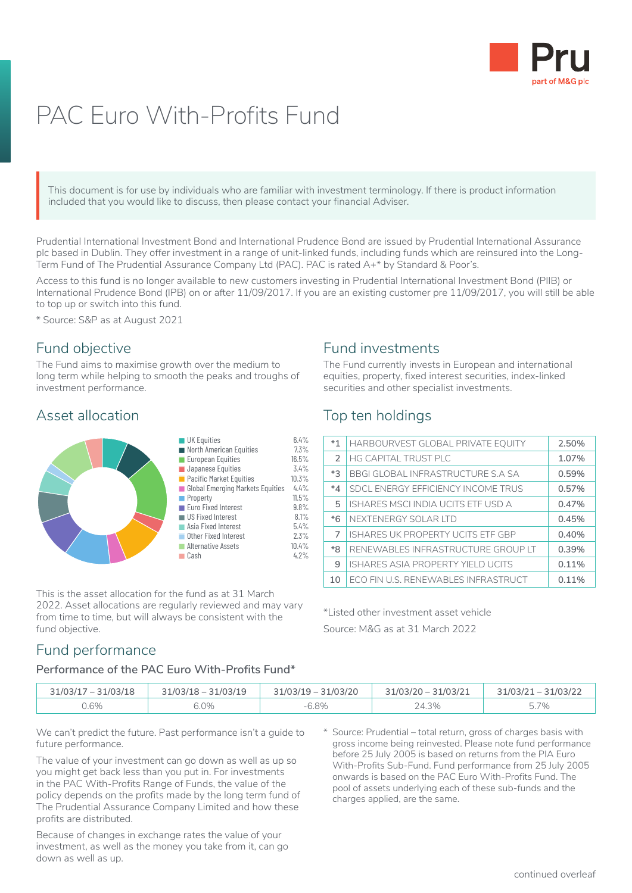

# PAC Euro With-Profits Fund

This document is for use by individuals who are familiar with investment terminology. If there is product information included that you would like to discuss, then please contact your financial Adviser. This or include

Prudential International Investment Bond and International Prudence Bond are issued by Prudential International Assurance plc based in Dublin. They offer investment in a range of unit-linked funds, including funds which are reinsured into the Long-Term Fund of The Prudential Assurance Company Ltd (PAC). PAC is rated A+\* by Standard & Poor's.

Access to this fund is no longer available to new customers investing in Prudential International Investment Bond (PIIB) or International Prudence Bond (IPB) on or after 11/09/2017. If you are an existing customer pre 11/09/2017, you will still be able to top up or switch into this fund.

\* Source: S&P as at August 2021

### Fund objective

The Fund aims to maximise growth over the medium to long term while helping to smooth the peaks and troughs of investment performance.

## Asset allocation



This is the asset allocation for the fund as at 31 March 2022. Asset allocations are regularly reviewed and may vary from time to time, but will always be consistent with the fund objective.

## Fund investments

The Fund currently invests in European and international equities, property, fixed interest securities, index-linked securities and other specialist investments.

## Top ten holdings

| $*1$          | HARBOURVEST GLOBAL PRIVATE EQUITY        | 2.50% |
|---------------|------------------------------------------|-------|
| $\mathcal{P}$ | <b>HG CAPITAL TRUST PLC</b>              | 1.07% |
| $*3$          | <b>BBGI GLOBAL INFRASTRUCTURE S.A SA</b> | 0.59% |
| $*_{4}$       | SDCL ENERGY EFFICIENCY INCOME TRUS       | 0.57% |
| 5             | ISHARES MSCI INDIA UCITS ETF USD A       | 0.47% |
| $*6$          | NEXTENERGY SOLAR LTD                     | 0.45% |
| 7             | <b>ISHARES UK PROPERTY UCITS ETF GBP</b> | 0.40% |
| $*8$          | RENEWABLES INFRASTRUCTURE GROUP LT       | 0.39% |
| 9             | ISHARES ASIA PROPERTY YIELD UCITS        | 0.11% |
| 10            | ECO FIN U.S. RENEWABLES INFRASTRUCT      | 0.11% |

\*Listed other investment asset vehicle Source: M&G as at 31 March 2022

# Fund performance

#### **Performance of the PAC Euro With-Profits Fund\***

| 31/03/17 - 31/03/18 | $31/03/18 - 31/03/19$ | $31/03/19 - 31/03/20$ | 31/03/20 - 31/03/21 | $31/03/21 - 31/03/22$ |
|---------------------|-----------------------|-----------------------|---------------------|-----------------------|
| 0.6%                | 6.0%                  | $-6.8%$               | 24.3%               | 5.7%                  |

We can't predict the future. Past performance isn't a guide to future performance.

The value of your investment can go down as well as up so you might get back less than you put in. For investments in the PAC With-Profits Range of Funds, the value of the policy depends on the profits made by the long term fund of The Prudential Assurance Company Limited and how these profits are distributed.

Because of changes in exchange rates the value of your investment, as well as the money you take from it, can go down as well as up.

\* Source: Prudential – total return, gross of charges basis with gross income being reinvested. Please note fund performance before 25 July 2005 is based on returns from the PIA Euro With-Profits Sub-Fund. Fund performance from 25 July 2005 onwards is based on the PAC Euro With-Profits Fund. The pool of assets underlying each of these sub-funds and the charges applied, are the same.